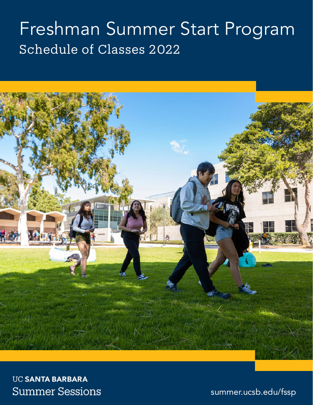# Freshman Summer Start Program Schedule of Classes 2022



**UC SANTA BARBARA Summer Sessions** 

summer.ucsb.edu/fssp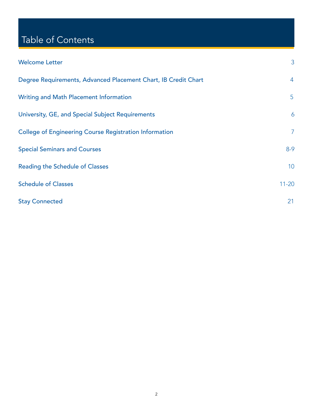# Table of Contents

| <b>Welcome Letter</b>                                          | 3               |
|----------------------------------------------------------------|-----------------|
| Degree Requirements, Advanced Placement Chart, IB Credit Chart | $\overline{4}$  |
| Writing and Math Placement Information                         | $\overline{5}$  |
| University, GE, and Special Subject Requirements               | 6               |
| <b>College of Engineering Course Registration Information</b>  | $\overline{7}$  |
| <b>Special Seminars and Courses</b>                            | $8-9$           |
| <b>Reading the Schedule of Classes</b>                         | 10 <sup>°</sup> |
| <b>Schedule of Classes</b>                                     | $11 - 20$       |
| <b>Stay Connected</b>                                          | 21              |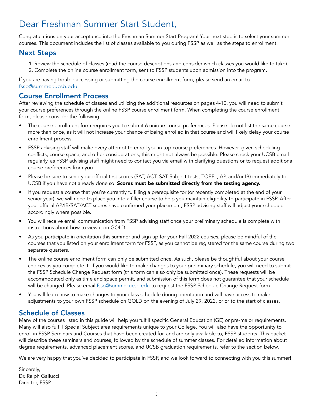# Dear Freshman Summer Start Student,

Congratulations on your acceptance into the Freshman Summer Start Program! Your next step is to select your summer courses. This document includes the list of classes available to you during FSSP as well as the steps to enrollment.

### Next Steps

- 1. Review the schedule of classes (read the course descriptions and consider which classes you would like to take).
- 2. Complete the online course enrollment form, sent to FSSP students upon admission into the program.

If you are having trouble accessing or submitting the course enrollment form, please send an email to fssp@summer.ucsb.edu.

### Course Enrollment Process

After reviewing the schedule of classes and utilizing the additional resources on pages 4-10, you will need to submit your course preferences through the online FSSP course enrollment form. When completing the course enrollment form, please consider the following:

- The course enrollment form requires you to submit 6 unique course preferences. Please do not list the same course more than once, as it will not increase your chance of being enrolled in that course and will likely delay your course enrollment process.
- FSSP advising staff will make every attempt to enroll you in top course preferences. However, given scheduling conflicts, course space, and other considerations, this might not always be possible. Please check your UCSB email regularly, as FSSP advising staff might need to contact you via email with clarifying questions or to request additional course preferences from you.
- Please be sure to send your official test scores (SAT, ACT, SAT Subject tests, TOEFL, AP, and/or IB) immediately to UCSB if you have not already done so. Scores must be submitted directly from the testing agency.
- If you request a course that you're currently fulfilling a prerequisite for (or recently completed at the end of your senior year), we will need to place you into a filler course to help you maintain eligibility to participate in FSSP. After your official AP/IB/SAT/ACT scores have confirmed your placement, FSSP advising staff will adjust your schedule accordingly where possible.
- You will receive email communication from FSSP advising staff once your preliminary schedule is complete with instructions about how to view it on GOLD.
- As you participate in orientation this summer and sign up for your Fall 2022 courses, please be mindful of the courses that you listed on your enrollment form for FSSP, as you cannot be registered for the same course during two separate quarters.
- The online course enrollment form can only be submitted once. As such, please be thoughtful about your course choices as you complete it. If you would like to make changes to your preliminary schedule, you will need to submit the FSSP Schedule Change Request form (this form can also only be submitted once). These requests will be accommodated only as time and space permit, and submission of this form does not guarantee that your schedule will be changed. Please email [fssp@summer.ucsb.edu](mailto:fssp%40summer.ucsb.edu?subject=) to request the FSSP Schedule Change Request form.
- You will learn how to make changes to your class schedule during orientation and will have access to make adjustments to your own FSSP schedule on GOLD on the evening of July 29, 2022, prior to the start of classes.

### Schedule of Classes

Many of the courses listed in this guide will help you fulfill specific General Education (GE) or pre-major requirements. Many will also fulfill Special Subject area requirements unique to your College. You will also have the opportunity to enroll in FSSP Seminars and Courses that have been created for, and are only available to, FSSP students. This packet will describe these seminars and courses, followed by the schedule of summer classes. For detailed information about degree requirements, advanced placement scores, and UCSB graduation requirements, refer to the section below.

We are very happy that you've decided to participate in FSSP, and we look forward to connecting with you this summer!

Sincerely, Dr. Ralph Gallucci Director, FSSP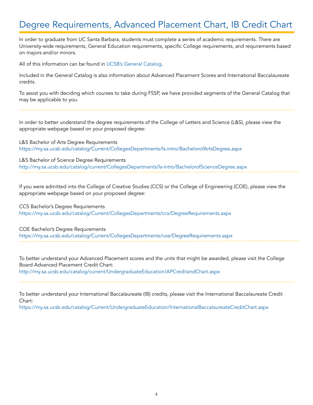# Degree Requirements, Advanced Placement Chart, IB Credit Chart

In order to graduate from UC Santa Barbara, students must complete a series of academic requirements. There are University-wide requirements, General Education requirements, specific College requirements, and requirements based on majors and/or minors.

All of this information can be found in [UCSB's General Catalog](http://my.sa.ucsb.edu/Catalog/Current/Index.aspx).

Included in the General Catalog is also information about Advanced Placement Scores and International Baccalaureate credits.

To assist you with deciding which courses to take during FSSP, we have provided segments of the General Catalog that may be applicable to you.

In order to better understand the degree requirements of the College of Letters and Science (L&S), please view the appropriate webpage based on your proposed degree:

L&S Bachelor of Arts Degree Requirements <https://my.sa.ucsb.edu/catalog/Current/CollegesDepartments/ls-intro/BachelorofArtsDegree.aspx>

L&S Bachelor of Science Degree Requirements <http://my.sa.ucsb.edu/catalog/current/CollegesDepartments/ls-intro/BachelorofScienceDegree.aspx>

If you were admitted into the College of Creative Studies (CCS) or the College of Engineering (COE), please view the appropriate webpage based on your proposed degree:

CCS Bachelor's Degree Requirements <https://my.sa.ucsb.edu/catalog/Current/CollegesDepartments/ccs/DegreeRequirements.aspx>

COE Bachelor's Degree Requirements <https://my.sa.ucsb.edu/catalog/Current/CollegesDepartments/coe/DegreeRequirements.aspx>

To better understand your Advanced Placement scores and the units that might be awarded, please visit the College Board Advanced Placement Credit Chart: <http://my.sa.ucsb.edu/catalog/current/UndergraduateEducation/APCreditandChart.aspx>

To better understand your International Baccalaureate (IB) credits, please visit the International Baccalaureate Credit Chart:

<https://my.sa.ucsb.edu/catalog/Current/UndergraduateEducation/InternationalBaccalaureateCreditChart.aspx>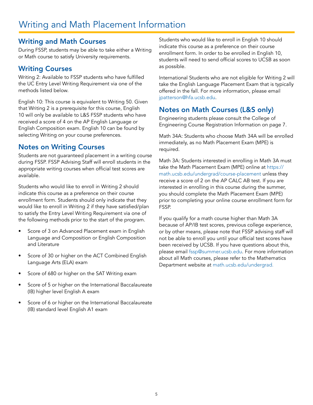### Writing and Math Courses

During FSSP, students may be able to take either a Writing or Math course to satisfy University requirements.

### Writing Courses

Writing 2: Available to FSSP students who have fulfilled the UC Entry Level Writing Requirement via one of the methods listed below.

English 10: This course is equivalent to Writing 50. Given that Writing 2 is a prerequisite for this course, English 10 will only be available to L&S FSSP students who have received a score of 4 on the AP English Language or English Composition exam. English 10 can be found by selecting Writing on your course preferences.

### Notes on Writing Courses

Students are not guaranteed placement in a writing course during FSSP. FSSP Advising Staff will enroll students in the appropriate writing courses when official test scores are available.

Students who would like to enroll in Writing 2 should indicate this course as a preference on their course enrollment form. Students should only indicate that they would like to enroll in Writing 2 if they have satisfied/plan to satisfy the Entry Level Writing Requirement via one of the following methods prior to the start of the program.

- Score of 3 on Advanced Placement exam in English Language and Composition or English Composition and Literature
- Score of 30 or higher on the ACT Combined English Language Arts (ELA) exam
- Score of 680 or higher on the SAT Writing exam
- Score of 5 or higher on the International Baccalaureate (IB) higher level English A exam
- Score of 6 or higher on the International Baccalaureate (IB) standard level English A1 exam

Students who would like to enroll in English 10 should indicate this course as a preference on their course enrollment form. In order to be enrolled in English 10, students will need to send official scores to UCSB as soon as possible.

International Students who are not eligible for Writing 2 will take the English Language Placement Exam that is typically offered in the fall. For more information, please email [jpatterson@hfa.ucsb.edu](mailto:jpatterson%40hfa.ucsb.edu?subject=).

### Notes on Math Courses (L&S only)

Engineering students please consult the College of Engineering Course Registration Information on page 7.

Math 34A: Students who choose Math 34A will be enrolled immediately, as no Math Placement Exam (MPE) is required.

Math 3A: Students interested in enrolling in Math 3A must take the Math Placement Exam (MPE) online at [https://](https://math.ucsb.edu/undergrad/course-placement) [math.ucsb.edu/undergrad/course-placement](https://math.ucsb.edu/undergrad/course-placement) unless they receive a score of 2 on the AP CALC AB test. If you are interested in enrolling in this course during the summer, you should complete the Math Placement Exam (MPE) prior to completing your online course enrollment form for FSSP.

If you qualify for a math course higher than Math 3A because of AP/IB test scores, previous college experience, or by other means, please note that FSSP advising staff will not be able to enroll you until your official test scores have been received by UCSB. If you have questions about this, please email [fssp@summer.ucsb.edu](mailto:fssp%40summer.ucsb.edu?subject=). For more information about all Math courses, please refer to the Mathematics Department website at [math.ucsb.edu/undergrad.](http://math.ucsb.edu/undergrad)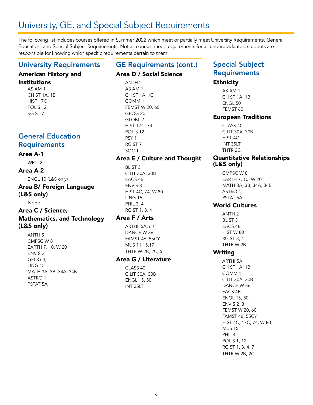# University, GE, and Special Subject Requirements

The following list includes courses offered in Summer 2022 which meet or partially meet University Requirements, General Education, and Special Subject Requirements. Not all courses meet requirements for all undergraduates; students are responsible for knowing which specific requirements pertain to them.

### University Requirements

### American History and

### Institutions

AS AM 1 CH ST 1A, 1B HIST 17C POL S 12 RG ST 7

### General Education **Requirements**

### Area A-1

WRIT 2

### Area A-2

ENGL 10 (L&S only)

### Area B/ Foreign Language (L&S only)

None

### Area C / Science, Mathematics, and Technology

### (L&S only)

ANTH 5 CMPSC W 8 EARTH 7, 10, W 20 ENV S 2 GEOG 4, LING 15 MATH 3A, 3B, 34A, 34B ASTRO 1 PSTAT 5A

# GE Requirements (cont.)

### Area D / Social Science

ANTH 2 AS AM 1 CH ST 1A, 1C COMM 1 FEMST W 20, 60 GEOG 20 GLOBL 2 HIST 17C, 74 POL S 12 PSY 1 RG ST 7 SOC 1

### Area E / Culture and Thought

BL ST 3 C LIT 30A, 30B EACS 4B ENV S 3 HIST 4C, 74, W 80 LING 15 PHIL 3, 4 RG ST 1, 3, 4

### Area F / Arts

ARTHI 5A, 6J DANCE W 36 FAMST 46, 55CY MUS 11,15,17 THTR W 2B, 2C, 5

### Area G / Literature

CLASS 40 C LIT 30A, 30B ENGL 15, 50 INT 35LT

### Special Subject **Requirements**

### Ethnicity

AS AM 1, CH ST 1A, 1B ENGL 50 FEMST 60

### European Traditions

CLASS 40 C LIT 30A, 30B HIST 4C INT 35LT THTR 2C

### Quantitative Relationships (L&S only)

CMPSC W 8 EARTH 7, 10, W 20 MATH 3A, 3B, 34A, 34B ASTRO 1 PSTAT 5A

### World Cultures

ANTH 2 BL ST 3 EACS 4B HIST W 80 RG ST 3, 4 THTR W 2B

### Writing

ARTHI 5A CH ST 1A, 1B COMM 1 C LIT 30A, 30B DANCE W 36 EACS 4B ENGL 15, 50 ENV S 2, 3 FEMST W 20, 60 FAMST 46, 55CY HIST 4C, 17C, 74, W 80 MUS 15 PHIL 4 POL S 1, 12 RG ST 1, 3, 4, 7 THTR W 2B, 2C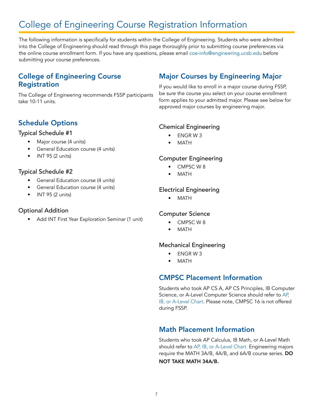# College of Engineering Course Registration Information

The following information is specifically for students within the College of Engineering. Students who were admitted into the College of Engineering should read through this page thoroughly prior to submitting course preferences via the online course enrollment form. If you have any questions, please email [coe-info@engineering.ucsb.edu](mailto:coe-info@engineering.ucsb.edu) before submitting your course preferences.

### College of Engineering Course Registration

The College of Engineering recommends FSSP participants take 10-11 units.

### Major Courses by Engineering Major

If you would like to enroll in a major course during FSSP, be sure the course you select on your course enrollment form applies to your admitted major. Please see below for approved major courses by engineering major.

### Schedule Options

### Typical Schedule #1

- Major course (4 units)
- General Education course (4 units)
- $\bullet$  INT 95 (2 units)

### Typical Schedule #2

- General Education course (4 units)
- General Education course (4 units)
- INT 95 (2 units)

### Optional Addition

• Add INT First Year Exploration Seminar (1 unit)

### Chemical Engineering

- ENGR W 3
- MATH

### Computer Engineering

- CMPSC W 8
- **MATH**

### Electrical Engineering

• MATH

### Computer Science

- CMPSC W 8
- MATH

### Mechanical Engineering

- ENGR W 3
- **MATH**

### CMPSC Placement Information

Students who took AP CS A, AP CS Principles, IB Computer Science, or A-Level Computer Science should refer to [AP,](https://my.sa.ucsb.edu/catalog/Current/UndergraduateEducation/AcademicProgramsOptions.aspx)  [IB, or A-Level Chart](https://my.sa.ucsb.edu/catalog/Current/UndergraduateEducation/AcademicProgramsOptions.aspx). Please note, CMPSC 16 is not offered during FSSP.

### Math Placement Information

Students who took AP Calculus, IB Math, or A-Level Math should refer to [AP, IB, or A-Level Chart.](https://my.sa.ucsb.edu/catalog/Current/UndergraduateEducation/AcademicProgramsOptions.aspx) Engineering majors require the MATH 3A/B, 4A/B, and 6A/B course series. DO NOT TAKE MATH 34A/B.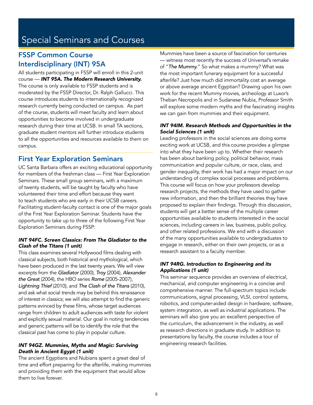# Special Seminars and Courses

### FSSP Common Course Interdisciplinary (INT) 95A

All students participating in FSSP will enroll in this 2-unit course — *INT 95A. The Modern Research University.* The course is only available to FSSP students and is moderated by the FSSP Director, Dr. Ralph Gallucci. This course introduces students to internationally recognized research currently being conducted on campus. As part of the course, students will meet faculty and learn about opportunities to become involved in undergraduate research during their time at UCSB. In small TA sections, graduate student mentors will further introduce students to all the opportunities and resources available to them on campus.

### First Year Exploration Seminars

UC Santa Barbara offers an exciting educational opportunity for members of the freshman class — First Year Exploration Seminars. These small group seminars, with a maximum of twenty students, will be taught by faculty who have volunteered their time and effort because they want to teach students who are early in their UCSB careers. Facilitating student-faculty contact is one of the major goals of the First Year Exploration Seminar. Students have the opportunity to take up to three of the following First Year Exploration Seminars during FSSP:

### *INT 94FC. Screen Classics: From The Gladiator to the Clash of the Titans (1 unit)*

This class examines several Hollywood films dealing with classical subjects, both historical and mythological, which have been produced in the last twenty years. We will view excerpts from the *Gladiator* (2000), *Troy* (2004), *Alexander the Great* (2004), the HBO series *Rome* (2005-2007), *Lightning Thief* (2010), and *The Clash of the Titans* (2010), and ask what social trends may be behind this renaissance of interest in classics; we will also attempt to find the generic patterns evinced by these films, whose target audiences range from children to adult audiences with taste for violent and explicitly sexual material. Our goal in noting tendencies and generic patterns will be to identify the role that the classical past has come to play in popular culture.

### *INT 94GZ. Mummies, Myths and Magic: Surviving Death in Ancient Egypt (1 unit)*

The ancient Egyptians and Nubians spent a great deal of time and effort preparing for the afterlife, making mummies and providing them with the equipment that would allow them to live forever.

Mummies have been a source of fascination for centuries — witness most recently the success of Universal's remake of "*The Mummy.*" So what makes a mummy? What was the most important funerary equipment for a successful afterlife? Just how much did immortality cost an average or above average ancient Egyptian? Drawing upon his own work for the recent Mummy movies, archeology at Luxor's Theban Necropolis and in Sudanese Nubia, Professor Smith will explore some modern myths and the fascinating insights we can gain from mummies and their equipment.

#### *INT 94IM. Research Methods and Opportunities in the Social Sciences (1 unit)*

Leading professors in the social sciences are doing some exciting work at UCSB, and this course provides a glimpse into what they have been up to. Whether their research has been about banking policy, political behavior, mass communication and popular culture, or race, class, and gender inequality, their work has had a major impact on our understanding of complex social processes and problems. This course will focus on how your professors develop research projects, the methods they have used to gather new information, and then the brilliant theories they have proposed to explain their findings. Through this discussion, students will get a better sense of the multiple career opportunities available to students interested in the social sciences, including careers in law, business, public policy, and other related professions. We end with a discussion of the many opportunities available to undergraduates to engage in research, either on their own projects, or as a research assistant to a faculty member.

#### *INT 94RG. Introduction to Engineering and its Applications (1 unit)*

This seminar sequence provides an overview of electrical, mechanical, and computer engineering in a concise and comprehensive manner. The full-spectrum topics include communications, signal processing, VLSI, control systems, robotics, and computer-aided design in hardware, software, system integration, as well as industrial applications. The seminars will also give you an excellent perspective of the curriculum, the advancement in the industry, as well as research directions in graduate study. In addition to presentations by faculty, the course includes a tour of engineering research facilities.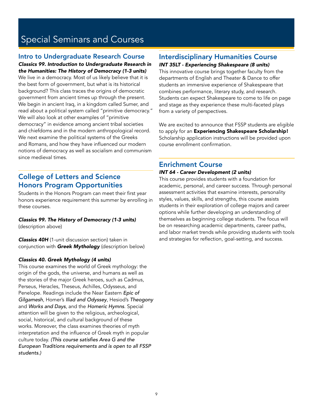# Special Seminars and Courses

### Intro to Undergraduate Research Course

*Classics 99. Introduction to Undergraduate Research in the Humanities: The History of Democracy (1-3 units)*  We live in a democracy. Most of us likely believe that it is the best form of government, but what is its historical background? This class traces the origins of democratic government from ancient times up through the present. We begin in ancient Iraq, in a kingdom called Sumer, and read about a political system called "primitive democracy." We will also look at other examples of "primitive democracy" in evidence among ancient tribal societies and chiefdoms and in the modern anthropological record. We next examine the political systems of the Greeks and Romans, and how they have influenced our modern notions of democracy as well as socialism and communism since medieval times.

### College of Letters and Science Honors Program Opportunities

Students in the Honors Program can meet their first year honors experience requirement this summer by enrolling in these courses.

*Classics 99. The History of Democracy (1-3 units)*  (description above)

*Classics 40H* (1-unit discussion section) taken in conjunction with *Greek Mythology* (description below)

### *Classics 40. Greek Mythology (4 units)*

This course examines the world of Greek mythology: the origin of the gods, the universe, and humans as well as the stories of the major Greek heroes, such as Cadmus, Perseus, Heracles, Theseus, Achilles, Odysseus, and Penelope. Readings include the Near Eastern *Epic of Gilgamesh*, Homer's *Iliad and Odyssey*, Hesiod's *Theogony* and *Works and Days*, and the *Homeric Hymns*. Special attention will be given to the religious, archeological, social, historical, and cultural background of these works. Moreover, the class examines theories of myth interpretation and the influence of Greek myth in popular culture today. (This course satisfies Area G and the *European Traditions requirements and is open to all FSSP students.)*

### Interdisciplinary Humanities Course

#### *INT 35LT - Experiencing Shakespeare (8 units)*

This innovative course brings together faculty from the departments of English and Theater & Dance to offer students an immersive experience of Shakespeare that combines performance, literary study, and research. Students can expect Shakespeare to come to life on page and stage as they experience these multi-faceted plays from a variety of perspectives.

We are excited to announce that FSSP students are eligible to apply for an Experiencing Shakespeare Scholarship! Scholarship application instructions will be provided upon course enrollment confirmation.

### Enrichment Course

### *INT 64 - Career Development (2 units)*

This course provides students with a foundation for academic, personal, and career success. Through personal assessment activities that examine interests, personality styles, values, skills, and strengths, this course assists students in their exploration of college majors and career options while further developing an understanding of themselves as beginning college students. The focus will be on researching academic departments, career paths, and labor market trends while providing students with tools and strategies for reflection, goal-setting, and success.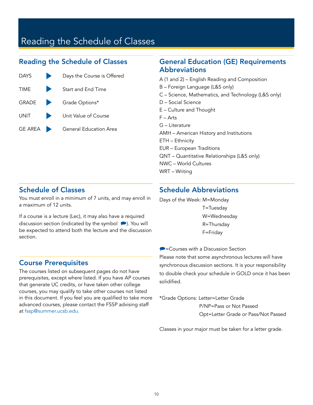# Reading the Schedule of Classes

### Reading the Schedule of Classes



### General Education (GE) Requirements **Abbreviations**

A (1 and 2) – English Reading and Composition

- B Foreign Language (L&S only)
- C Science, Mathematics, and Technology (L&S only)
- D Social Science
- E Culture and Thought
- F Arts
- G Literature
- AMH American History and Institutions
- ETH Ethnicity
- EUR European Traditions
- QNT Quantitative Relationships (L&S only)
- NWC World Cultures
- WRT Writing

### Schedule of Classes

You must enroll in a minimum of 7 units, and may enroll in a maximum of 12 units.

If a course is a lecture (Lec), it may also have a required discussion section (indicated by the symbol  $\bullet$ ). You will be expected to attend both the lecture and the discussion section.

### Schedule Abbreviations

Days of the Week: M=Monday

T=Tuesday W=Wednesday R=Thursday F=Friday

 $\blacktriangleright$  = Courses with a Discussion Section Please note that some asynchronous lectures will have synchronous discussion sections. It is your responsibility to double check your schedule in GOLD once it has been solidified.

\*Grade Options: Letter=Letter Grade P/NP=Pass or Not Passed

Opt=Letter Grade or Pass/Not Passed

Classes in your major must be taken for a letter grade.

### Course Prerequisites

The courses listed on subsequent pages do not have prerequisites, except where listed. If you have AP courses that generate UC credits, or have taken other college courses, you may qualify to take other courses not listed in this document. If you feel you are qualified to take more advanced courses, please contact the FSSP advising staff at [fssp@summer.ucsb.edu.](mailto:fssp%40summer.ucsb.edu?subject=)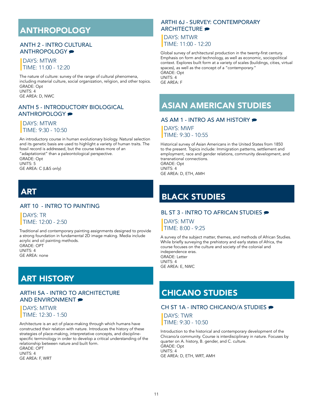# ANTHROPOLOGY

### ANTH 2 - INTRO CULTURAL ANTHROPOLOGY <del>₽</del>

### DAYS: MTWR TIME: 11:00 - 12:20

 The nature of culture: survey of the range of cultural phenomena, including material culture, social organization, religion, and other topics. GRADE: Opt UNITS: 4 GE AREA: D, NWC

ANTH 5 - INTRODUCTORY BIOLOGICAL ANTHROPOLOGY  $\bullet$ 

### DAYS: MTWR TIME: 9:30 - 10:50

 An introductory course in human evolutionary biology. Natural selection and its genetic basis are used to highlight a variety of human traits. The fossil record is addressed, but the course takes more of an "adaptationist" than a paleontological perspective.

 GRADE: Opt UNITS: 5 GE AREA: C (L&S only)

# **ART**

### ART 10 - INTRO TO PAINTING

 DAYS: TR TIME: 12:00 - 2:50

 Traditional and contemporary painting assignments designed to provide a strong foundation in fundamental 2D image making. Media include acrylic and oil painting methods. GRADE: OPT UNITS: 4 GE AREA: none

### ART HISTORY

### ARTHI 5A - INTRO TO ARCHITECTURE AND ENVIRONMENT

 DAYS: MTWR TIME: 12:30 - 1:50

 Architecture is an act of place-making through which humans have constructed their relation with nature. Introduces the history of these strategies of place-making, interpretative concepts, and discipline specific terminology in order to develop a critical understanding of the relationship between nature and built form. GRADE: OPT

 UNITS: 4 GE AREA: F, WRT

### ARTHI 6J - SURVEY: CONTEMPORARY ARCHITECTURE  $\bullet$

 DAYS: MTWR TIME: 11:00 - 12:20

 Global survey of architectural production in the twenty-first century. Emphasis on form and technology, as well as economic, sociopolitical context. Explores built form at a variety of scales (buildings, cities, virtual spaces), as well as the concept of a "contemporary." GRADE: Opt UNITS: 4 GE AREA: F

ASIAN AMERICAN STUDIES

### AS AM 1 - INTRO AS AM HISTORY

 DAYS: MWF TIME: 9:30 - 10:55

 Historical survey of Asian Americans in the United States from 1850 to the present. Topics include: Immigration patterns, settlement and employment, race and gender relations, community development, and transnational connections.

 GRADE: Opt UNITS: 4 GE AREA: D, ETH, AMH

## BLACK STUDIES

### BL ST 3 - INTRO TO AFRICAN STUDIES

 DAYS: MTW TIME: 8:00 - 9:25

 A survey of the subject matter, themes, and methods of African Studies. While briefly surveying the prehistory and early states of Africa, the course focuses on the culture and society of the colonial and independence eras. GRADE: Letter UNITS: 4 GE AREA: E, NWC

### CHICANO STUDIES

### CH ST 1A - INTRO CHICANO/A STUDIES ●

 DAYS: TWR TIME: 9:30 - 10:50

 Introduction to the historical and contemporary development of the Chicano/a community. Course is interdisciplinary in nature. Focuses by quarter on A. history, B. gender, and C. culture. GRADE: Opt UNITS: 4 GE AREA: D, ETH, WRT, AMH

11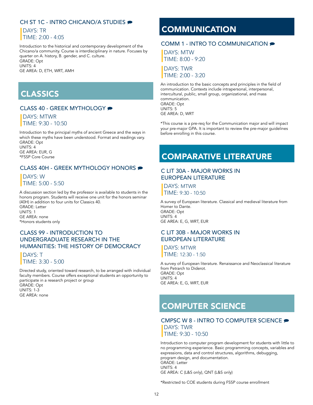### CH ST 1C - INTRO CHICANO/A STUDIES ●

 DAYS: TR TIME: 2:00 - 4:05

 Introduction to the historical and contemporary development of the Chicano/a community. Course is interdisciplinary in nature. Focuses by quarter on A. history, B. gender, and C. culture. GRADE: Opt UNITS: 4 GE AREA: D, ETH, WRT, AMH

### CLASSICS

### CLASS 40 - GREEK MYTHOLOGY

 DAYS: MTWR TIME: 9:30 - 10:50

 Introduction to the principal myths of ancient Greece and the ways in which these myths have been understood. Format and readings vary. GRADE: Opt UNITS: 4 GE AREA: EUR, G \*FSSP Core Course

### CLASS 40H - GREEK MYTHOLOGY HONORS

 DAYS: W TIME: 5:00 - 5:50

 A discussion section led by the professor is available to students in the honors program. Students will receive one unit for the honors seminar (40H) in addition to four units for Classics 40. GRADE: Letter UNITS: 1 GE AREA: none

\*Honors students only

### CLASS 99 - INTRODUCTION TO UNDERGRADUATE RESEARCH IN THE HUMANITIES: THE HISTORY OF DEMOCRACY

DAYS: T TIME: 3:30 - 5:00

 Directed study, oriented toward research, to be arranged with individual faculty members. Course offers exceptional students an opportunity to participate in a research project or group GRADE: Opt UNITS: 1-3 GE AREA: none

### **COMMUNICATION**

### COMM 1 - INTRO TO COMMUNICATION ●

 DAYS: MTW TIME: 8:00 - 9:20

 DAYS: TWR TIME: 2:00 - 3:20

 An introduction to the basic concepts and principles in the field of communication. Contexts include intrapersonal, interpersonal, intercultural, public, small group, organizational, and mass communication. GRADE: Opt UNITS: 5 GE AREA: D, WRT

 \*This course is a pre-req for the Communication major and will impact your pre-major GPA. It is important to review the pre-major guidelines before enrolling in this course.

### COMPARATIVE LITERATURE

#### C LIT 30A - MAJOR WORKS IN EUROPEAN LITERATURE

 DAYS: MTWR TIME: 9:30 - 10:50

 A survey of European literature. Classical and medieval literature from Homer to Dante. GRADE: Opt UNITS: 4 GE AREA: E, G, WRT, EUR

### C LIT 30B - MAJOR WORKS IN EUROPEAN LITERATURE

 DAYS: MTWR TIME: 12:30 - 1:50

 A survey of European literature. Renaissance and Neoclassical literature from Petrarch to Diderot. GRADE: Opt UNITS: 4 GE AREA: E, G, WRT, EUR

### COMPUTER SCIENCE

CMPSC W 8 - INTRO TO COMPUTER SCIENCE ● DAYS: TWR TIME: 9:30 - 10:50

 Introduction to computer program development for students with little to no programming experience. Basic programming concepts, variables and expressions, data and control structures, algorithms, debugging, program design, and documentation. GRADE: Letter UNITS: 4 GE AREA: C (L&S only), QNT (L&S only)

\*Restricted to COE students during FSSP course enrollment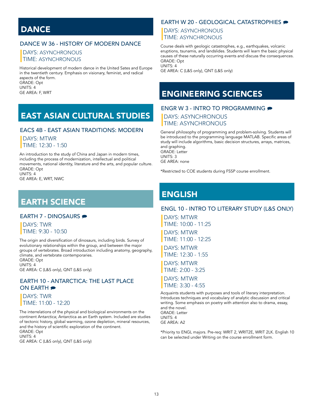### **DANCE**

### DANCE W 36 - HISTORY OF MODERN DANCE

### DAYS: ASYNCHRONOUS TIME: ASYNCHRONOUS

 Historical development of modern dance in the United Sates and Europe in the twentieth century. Emphasis on visionary, feminist, and radical aspects of the form. GRADE: Opt UNITS: 4 GE AREA: F, WRT

# EAST ASIAN CULTURAL STUDIES

#### EACS 4B - EAST ASIAN TRADITIONS: MODERN

### DAYS: MTWR

TIME: 12:30 - 1:50

 An introduction to the study of China and Japan in modern times, including the process of modernization, intellectual and political movements, national identity, literature and the arts, and popular culture. GRADE: Opt UNITS: 4

GE AREA: E, WRT, NWC

### EARTH SCIENCE

#### EARTH 7 - DINOSAURS <del>₽</del>

 DAYS: TWR TIME: 9:30 - 10:50

 The origin and diversification of dinosaurs, including birds. Survey of evolutionary relationships within the group, and between the major groups of vertebrates. Broad introduction including anatomy, geography, climate, and vertebrate contemporaries. GRADE: Opt UNITS: 4

GE AREA: C (L&S only), QNT (L&S only)

#### EARTH 10 - ANTARCTICA: THE LAST PLACE ON EARTH  $\bullet$

 DAYS: TWR TIME: 11:00 - 12:20

 The interrelations of the physical and biological environments on the continent Antarctica; Antarctica as an Earth system. Included are studies of tectonic history, global warming, ozone depletion, mineral resources, and the history of scientific exploration of the continent. GRADE: Opt UNITS: 4

### GE AREA: C (L&S only), QNT (L&S only)

### EARTH W 20 - GEOLOGICAL CATASTROPHIES

 DAYS: ASYNCHRONOUS TIME: ASYNCHRONOUS

 Course deals with geologic catastrophes, e.g., earthquakes, volcanic eruptions, tsunamis, and landslides. Students will learn the basic physical causes of these naturally occurring events and discuss the consequences. GRADE: Opt UNITS: 4

GE AREA: C (L&S only), QNT (L&S only)

# ENGINEERING SCIENCES

#### ENGR W 3 - INTRO TO PROGRAMMING

 DAYS: ASYNCHRONOUS TIME: ASYNCHRONOUS

 General philosophy of programming and problem-solving. Students will be introduced to the programming language MATLAB. Specific areas of study will include algorithms, basic decision structures, arrays, matrices, and graphing. GRADE: Letter UNITS: 3

GE AREA: none

\*Restricted to COE students during FSSP course enrollment.

### ENGLISH

#### ENGL 10 - INTRO TO LITERARY STUDY (L&S ONLY)

 DAYS: MTWR TIME: 10:00 - 11:25

 DAYS: MTWR TIME: 11:00 - 12:25

 DAYS: MTWR TIME: 12:30 - 1:55

 DAYS: MTWR TIME: 2:00 - 3:25

 DAYS: MTWR  $TMF: 3:30 - 4:55$ 

 Acquaints students with purposes and tools of literary interpretation. Introduces techniques and vocabulary of analytic discussion and critical writing. Some emphasis on poetry with attention also to drama, essay, and the novel. GRADE: Letter UNITS: 4 GE AREA: A2

 \*Priority to ENGL majors. Pre-req: WRIT 2, WRIT2E, WRIT 2LK. English 10 can be selected under Writing on the course enrollment form.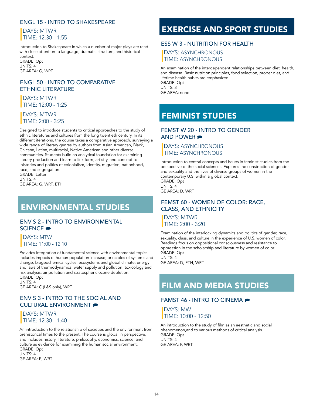### ENGL 15 - INTRO TO SHAKESPEARE

### DAYS: MTWR TIME: 12:30 - 1:55

 Introduction to Shakespeare in which a number of major plays are read with close attention to language, dramatic structure, and historical context.

 GRADE: Opt UNITS: 4 GE AREA: G, WRT

### ENGL 50 - INTRO TO COMPARATIVE ETHNIC LITERATURE

 DAYS: MTWR TIME: 12:00 - 1:25

### DAYS: MTWR TIME: 2:00 - 3:25

 Designed to introduce students to critical approaches to the study of ethnic literatures and cultures from the long twentieth century. In its different iterations, the course takes a comparative approach, surveying a wide range of literary genres by authors from Asian American, Black, Chicanx, Latinx, multiracial, Native American and other diverse communities. Students build an analytical foundation for examining literary production and learn to link form, artistry, and concept to histories and politics of colonialism, identity, migration, nationhood, race, and segregation. GRADE: Letter

 UNITS: 4 GE AREA: G, WRT, ETH

# ENVIRONMENTAL STUDIES

### ENV S 2 - INTRO TO ENVIRONMENTAL SCIENCE<sup>®</sup>

 DAYS: MTW TIME: 11:00 - 12:10

 Provides integration of fundamental science with environmental topics. Includes impacts of human population increase; principles of systems and change, biogeochemical cycles, ecosystems and global climate; energy and laws of thermodynamics; water supply and pollution; toxicology and risk analysis; air pollution and stratospheric ozone depletion. GRADE: Opt UNITS: 4

GE AREA: C (L&S only), WRT

### ENV S 3 - INTRO TO THE SOCIAL AND CULTURAL ENVIRONMENT

 DAYS: MTWR TIME: 12:30 - 1:40

 An introduction to the relationship of societies and the environment from prehistorical times to the present. The course is global in perspective, and includes history, literature, philosophy, economics, science, and culture as evidence for examining the human social environment. GRADE: Opt UNITS: 4

GE AREA: E, WRT

## EXERCISE AND SPORT STUDIES

### ESS W 3 - NUTRITION FOR HEALTH

 DAYS: ASYNCHRONOUS TIME: ASYNCHRONOUS

 An examination of the interdependent relationships between diet, health, and disease. Basic nutrition principles, food selection, proper diet, and lifetime health habits are emphasized. GRADE: Opt UNITS: 3 GE AREA: none

### FEMINIST STUDIES

#### FEMST W 20 - INTRO TO GENDER AND POWER  $\bullet$

#### DAYS: ASYNCHRONOUS TIME: ASYNCHRONOUS

 Introduction to central concepts and issues in feminist studies from the perspective of the social sciences. Explores the construction of gender and sexuality and the lives of diverse groups of women in the contemporary U.S. within a global context. GRADE: Opt UNITS: 4 GE AREA: D, WRT

### FEMST 60 - WOMEN OF COLOR: RACE, CLASS, AND ETHNICITY

 DAYS: MTWR TIME: 2:00 - 3:20

 Examination of the interlocking dynamics and politics of gender, race, sexuality, class, and culture in the experience of U.S. women of color. Readings focus on oppositional consciousness and resistance to oppression in the scholarship and literature by women of color. GRADE: Opt UNITS: 4 GE AREA: D, ETH, WRT

### FILM AND MEDIA STUDIES

#### FAMST 46 - INTRO TO CINEMA

 DAYS: MW  $TTIMF: 10:00 - 12:50$ 

 An introduction to the study of film as an aesthetic and social phenomenon,and to various methods of critical analysis. GRADE: Opt UNITS: 4 GE AREA: F, WRT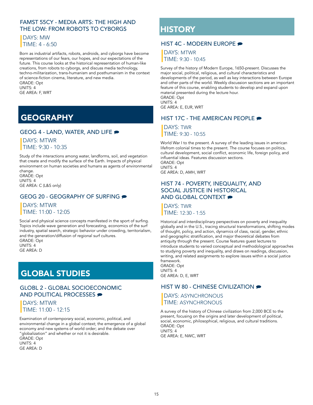### FAMST 55CY - MEDIA ARTS: THE HIGH AND THE LOW: FROM ROBOTS TO CYBORGS

### DAYS: MW TIME: 4 - 6:50

 Born as industrial artifacts, robots, androids, and cyborgs have become representations of our fears, our hopes, and our expectations of the future. This course looks at the historical representation of human-like creations, from robots to cyborgs, and discuss media technology, techno-militarization, trans-humanism and posthumanism in the context of science-fiction cinema, literature, and new media. GRADE: Opt

 UNITS: 4 GE AREA: F, WRT

# **GEOGRAPHY**

### GEOG 4 - LAND, WATER, AND LIFE

 DAYS: MTWR  $TMF: 9:30 - 10:35$ 

 Study of the interactions among water, landforms, soil, and vegetation that create and modify the surface of the Earth. Impacts of physical environment on human societies and humans as agents of environmental change. GRADE: Opt UNITS: 4

GE AREA: C (L&S only)

### GEOG 20 - GEOGRAPHY OF SURFING

### DAYS: MTWR TIME: 11:00 - 12:05

 Social and physical science concepts manifested in the sport of surfing. Topics include wave generation and forecasting, economics of the surf industry, spatial search, strategic behavior under crowding, territorialism, and the generation/diffusion of regional surf cultures. GRADE: Opt UNITS: 4 GE AREA: D

# GLOBAL STUDIES

### GLOBL 2 - GLOBAL SOCIOECONOMIC AND POLITICAL PROCESSES

 DAYS: MTWR TIME: 11:00 - 12:15

 Examination of contemporary social, economic, political, and environmental change in a global context; the emergence of a global economy and new systems of world order; and the debate over "globalization" and whether or not it is desirable. GRADE: Opt UNITS: 4 GE AREA: D

# **HISTORY**

### HIST 4C - MODERN FUROPE

 DAYS: MTWR TIME: 9:30 - 10:45

 Survey of the history of Modern Europe, 1650-present. Discusses the major social, political, religious, and cultural characteristics and developments of the period, as well as key interactions between Europe and other parts of the world. Weekly discussion sections are an important feature of this course, enabling students to develop and expand upon material presented during the lecture hour. GRADE: Opt UNITS: 4

GE AREA: E, EUR, WRT

### HIST 17C - THE AMERICAN PEOPLE

 DAYS: TWR TIME: 9:30 - 10:55

 World War I to the present. A survey of the leading issues in american lifefrom colonial times to the present. The course focuses on politics, cultural development, social conflict, economic life, foreign policy, and influential ideas. Features discussion sections. GRADE: Opt UNITS: 4 GE AREA: D, AMH, WRT

 HIST 74 - POVERTY, INEQUALITY, AND SOCIAL JUSTICE IN HISTORICAL AND GLOBAL CONTEXT

 DAYS: TWR TIME: 12:30 - 1:55

 Historical and interdisciplinary perspectives on poverty and inequality globally and in the U.S., tracing structural transformations, shifting modes of thought, policy, and action, dynamics of class, racial, gender, ethnic and geographic stratification, and major theoretical debates from antiquity through the present. Course features guest lectures to introduce students to varied conceptual and methodological approaches to studying poverty and inequality, and draws on readings, discussion, writing, and related assignments to explore issues within a social justice framework.

 GRADE: Opt UNITS: 4 GE AREA: D, E, WRT

### HIST W 80 - CHINESE CIVILIZATION

### DAYS: ASYNCHRONOUS TIME: ASYNCHRONOUS

 A survey of the history of Chinese civilization from 2,000 BCE to the present, focusing on the origins and later development of political, social, economic, philosophical, religious, and cultural traditions. GRADE: Opt UNITS: 4 GE AREA: E, NWC, WRT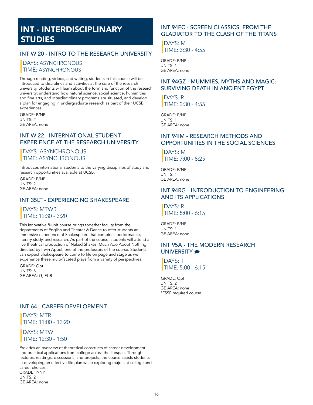# INT - INTERDISCIPLINARY STUDIES

### INT W 20 - INTRO TO THE RESEARCH UNIVERSITY

### DAYS: ASYNCHRONOUS TIME: ASYNCHRONOUS

 Through reading, videos, and writing, students in this course will be introduced to disciplines and activities at the core of the research university. Students will learn about the form and function of the research university; understand how natural science, social science, humanities and fine arts, and interdisciplinary programs are situated, and develop a plan for engaging in undergraduate research as part of their UCSB experiences.

GRADE: P/NP UNITS: 2 GE AREA: none

### INT W 22 - INTERNATIONAL STUDENT EXPERIENCE AT THE RESEARCH UNIVERSITY

 DAYS: ASYNCHRONOUS TIME: ASYNCHRONOUS

 Introduces international students to the varying disciplines of study and research opportunities available at UCSB.

GRADE: P/NP UNITS: 2 GE AREA: none

#### INT 35LT - EXPERIENCING SHAKESPEARE

 DAYS: MTWR TIME: 12:30 - 3:20

 This innovative 8-unit course brings together faculty from the departments of English and Theater & Dance to offer students an immersive experience of Shakespeare that combines performance, literary study, and research. As part of the course, students will attend a live theatrical production of Naked Shakes' Much Ado About Nothing, directed by Irwin Appel, one of the professors of the course. Students can expect Shakespeare to come to life on page and stage as we experience these multi-faceted plays from a variety of perspectives.

GRADE: Opt UNITS: 8 GE AREA: G, EUR

### INT 64 - CAREER DEVELOPMENT

 DAYS: MTR TIME: 11:00 - 12:20

 DAYS: MTW TIME: 12:30 - 1:50

 Provides an overview of theoretical constructs of career development and practical applications from college across the lifespan. Through lectures, readings, discussions, and projects, the course assists students in developing an effective life plan while exploring majors at college and career choices. GRADE: P/NP UNITS: 2 GE AREA: none

### INT 94FC - SCREEN CLASSICS: FROM THE GLADIATOR TO THE CLASH OF THE TITANS

 DAYS: M TIME: 3:30 - 4:55

GRADE: P/NP UNITS: 1 GE AREA: none

### INT 94GZ - MUMMIES, MYTHS AND MAGIC: SURVIVING DEATH IN ANCIENT EGYPT

 DAYS: R TIME: 3:30 - 4:55

GRADE: P/NP UNITS: 1 GE AREA: none

### INT 94IM - RESEARCH METHODS AND OPPORTUNITIES IN THE SOCIAL SCIENCES

 DAYS: M TIME: 7:00 - 8:25

GRADE: P/NP UNITS: 1 GE AREA: none

#### INT 94RG - INTRODUCTION TO ENGINEERING AND ITS APPLICATIONS

 DAYS: R TIME: 5:00 - 6:15

GRADE: P/NP UNITS: 1 GE AREA: none

#### INT 95A - THE MODERN RESEARCH UNIVERSITY  $\bullet$

 DAYS: T TIME: 5:00 - 6:15

GRADE: Opt UNITS: 2 GE AREA: none \*FSSP required course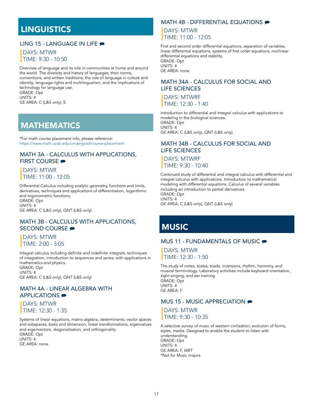### **LINGUISTICS**

### LING 15 - LANGUAGE IN LIFE

### DAYS: MTWR TIME: 9:30 - 10:50

 Overview of language and its role in communities at home and around the world. The diversity and history of languages; their norms, conventions, and written traditions; the role of language in culture and identity; language rights and multilingualism, and the implications of technology for language use. GRADE: Opt UNITS: 4

GE AREA: C (L&S only), E

### **MATHEMATICS**

 \*For math course placement info, please reference: <https://www.math.ucsb.edu/undergrad/course-placement>

#### MATH 3A - CALCULUS WITH APPLICATIONS, FIRST COURSE

### DAYS: MTWR TIME: 11:00 - 12:05

 Differential Calculus including analytic geometry, functions and limits, derivatives, techniques and applications of differentiation, logarithmic and trigonometric functions. GRADE: Opt UNITS: 4 GE AREA: C (L&S only), QNT (L&S only)

### MATH 3B - CALCULUS WITH APPLICATIONS, SECOND COURSE <del>●</del>

### DAYS: MTWR TIME: 2:00 - 3:05

 Integral calculus including definite and indefinite integrals, techniques of integration; introduction to sequences and series; with applications in mathematics and physics. GRADE: Opt UNITS: 4

GE AREA: C (L&S only), QNT (L&S only)

#### MATH 4A - LINEAR ALGEBRA WITH APPLICATIONS **>**

 DAYS: MTWR TIME: 12:30 - 1:35

 Systems of linear equations, matrix algebra, determinants, vector spaces and subspaces, basis and dimension, linear transformations, eigenvalues and eigenvectors, diagonalization, and orthogonality. GRADE: Opt UNITS: 4 GE AREA: none

### MATH 4B - DIFFERENTIAL EQUATIONS

 DAYS: MTWR TIME: 11:00 - 12:05

 First and second order differential equations, separation of variables, linear differential equations, systems of first order equations, nonlinear differential equations and stability. GRADE: Opt UNITS: 4 GE AREA: none

#### MATH 34A - CALCULUS FOR SOCIAL AND LIFE SCIENCES

 DAYS: MTWRF TIME: 12:30 - 1:40

 Introduction to differential and integral calculus with applications to modeling in the biological sciences. GRADE: Opt UNITS: 4 GE AREA: C (L&S only), QNT (L&S only)

### MATH 34B - CALCULUS FOR SOCIAL AND LIFE SCIENCES

 DAYS: MTWRF TIME: 9:30 - 10:40

 Continued study of differential and integral calculus with differential and integral calculus with applications. Introduction to mathematical modeling with differential equations. Calculus of several variables including an introduction to partial derivatives. GRADE: Opt UNITS: 4

GE AREA: C (L&S only), QNT (L&S only)

# **MUSIC**

### **MUS 11 - FUNDAMENTALS OF MUSIC ●**

 DAYS: MTWR TIME: 12:30 - 1:50

 The study of notes, scales, triads, inversions, rhythm, harmony, and musical terminology. Laboratory activities include keyboard orientation, sight singing, and ear training. GRADE: Opt UNITS: 4 GE AREA: F

#### MUS 15 - MUSIC APPRECIATION

 DAYS: MTWR TIME: 9:30 - 10:35

 A selective survey of music of western civilization; evolution of forms, styles, media. Designed to enable the student to listen with understanding. GRADE: Opt UNITS: 4 GE AREA: F, WRT \*Not for Music majors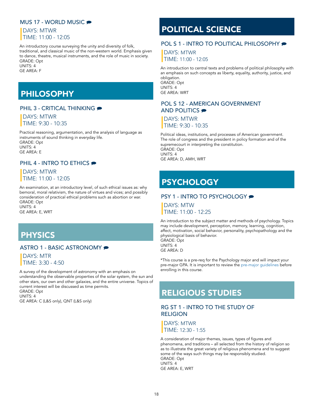#### **MUS 17 - WORLD MUSIC ●**

### DAYS: MTWR TIME: 11:00 - 12:05

 An introductory course surveying the unity and diversity of folk, traditional, and classical music of the non-western world. Emphasis given to dance, theatre, musical instruments, and the role of music in society. GRADE: Opt UNITS: 4

GE AREA: F

# PHILOSOPHY

### PHIL 3 - CRITICAL THINKING

### DAYS: MTWR TIME: 9:30 - 10:35

 Practical reasoning, argumentation, and the analysis of language as instruments of sound thinking in everyday life. GRADE: Opt UNITS: 4 GE AREA: E

### PHIL 4 - INTRO TO ETHICS

### DAYS: MTWR TIME: 11:00 - 12:05

 An examination, at an introductory level, of such ethical issues as: why bemoral, moral relativism, the nature of virtues and vices; and possibly consideration of practical ethical problems such as abortion or war. GRADE: Opt UNITS: 4

GE AREA: E, WRT

# PHYSICS

### ASTRO 1 - BASIC ASTRONOMY

 DAYS: MTR TIME: 3:30 - 4:50

 A survey of the development of astronomy with an emphasis on understanding the observable properties of the solar system, the sun and other stars, our own and other galaxies, and the entire universe. Topics of current interest will be discussed as time permits. GRADE: Opt UNITS: 4

GE AREA: C (L&S only), QNT (L&S only)

# POLITICAL SCIENCE

### POL S 1 - INTRO TO POLITICAL PHILOSOPHY

 DAYS: MTWR TIME: 11:00 - 12:05

 An introduction to central texts and problems of political philosophy with an emphasis on such concepts as liberty, equality, authority, justice, and obligation. GRADE: Opt

 UNITS: 4 GE AREA: WRT

#### POL S 12 - AMERICAN GOVERNMENT AND POLITICS

 DAYS: MTWR TIME: 9:30 - 10:35

 Political ideas, institutions, and processes of American government. The role of congress and the president in policy formation and of the supremecourt in interpreting the constitution. GRADE: Opt UNITS: 4 GE AREA: D, AMH, WRT

# **PSYCHOLOGY**

### PSY 1 - INTRO TO PSYCHOLOGY

 DAYS: MTW TIME: 11:00 - 12:25

 An introduction to the subject matter and methods of psychology. Topics may include development, perception, memory, learning, cognition, affect, motivation, social behavior, personality, psychopathology and the physiological basis of behavior. GRADE: Opt

 UNITS: 4 GE AREA: D

 \*This course is a pre-req for the Psychology major and will impact your pre-major GPA. It is important to review the [pre-major guidelines](https://www.psych.ucsb.edu/undergrad/freshmen-students) before enrolling in this course.

# RELIGIOUS STUDIES

### RG ST 1 - INTRO TO THE STUDY OF RELIGION

 DAYS: MTWR TIME: 12:30 - 1:55

 A consideration of major themes, issues, types of figures and phenomena, and traditions – all selected from the history of religion so as to illustrate the great variety of religious phenomena and to suggest some of the ways such things may be responsibly studied. GRADE: Opt UNITS: 4 GE AREA: E, WRT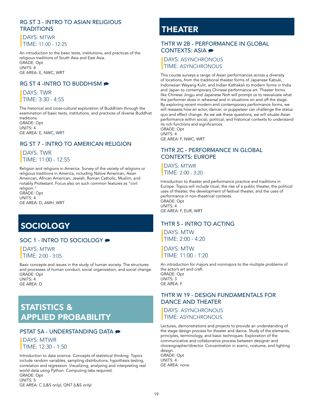### RG ST 3 - INTRO TO ASIAN RELIGIOUS **TRADITIONS**

 DAYS: MTWR TIME: 11:00 - 12:25

 An introduction to the basic texts, institutions, and practices of the religious traditions of South Asia and East Asia. GRADE: Opt UNITS: 4 GE AREA: E, NWC, WRT

### RG ST 4 -INTRO TO BUDDHISM

 DAYS: TWR TIME: 3:30 - 4:55

 The historical and cross-cultural exploration of Buddhism through the examination of basic texts, institutions, and practices of diverse Buddhist traditions.

 GRADE: Opt UNITS: 4 GE AREA: E, NWC, WRT

### RG ST 7 - INTRO TO AMERICAN RELIGION

 DAYS: TWR TIME: 11:00 - 12:55

 Religion and religions in America. Survey of the variety of religions or religious traditions in America, including Native American, Asian American, African American, Jewish, Roman Catholic, Muslim, and notably Protestant. Focus also on such common features as "civil religion.' GRADE: Opt UNITS: 4

GE AREA: D, AMH, WRT

# **SOCIOLOGY**

### SOC 1 - INTRO TO SOCIOLOGY

 DAYS: MTWR TIME: 2:00 - 3:05

 Basic concepts and issues in the study of human society. The structures and processes of human conduct, social organization, and social change. GRADE: Opt UNITS: 4

GE AREA: D

# STATISTICS & APPLIED PROBABILITY

### **PSTAT 5A - UNDERSTANDING DATA**  $\bullet$

 DAYS: MTWR TIME: 12:30 - 1:50

 Introduction to data science. Concepts of statistical thinking. Topics include random variables, sampling distributions, hypothesis testing, correlation and regression. Visualizing, analyzing and interpreting real world data using Python. Computing labs required. GRADE: Opt UNITS: 5 GE AREA: C (L&S only), QNT (L&S only)

# THEATER

### THTR W 2B - PERFORMANCE IN GLOBAL CONTEXTS: ASIA

### DAYS: ASYNCHRONOUS TIME: ASYNCHRONOUS

 This course surveys a range of Asian performances across a diversity of locations, from the traditional theater forms of Japanese Kabuki, Indonesian Wayang Kulit, and Indian Kathakali to modern forms in India and Japan to contemporary Chinese performance art. Theater forms like Chinese Jingju and Japanese Noh will prompt us to reevaluate what the performer does in rehearsal and in situations on and off the stage. By exploring recent modern and contemporary performance forms, we will reassess how an actor, dancer, or puppeteer can challenge the status quo and effect change. As we ask these questions, we will situate Asian performance within social, political, and historical contexts to understand its rich functions and significances.

 GRADE: Opt UNITS: 4 GE AREA: F, NWC, WRT

### THTR 2C - PERFORMANCE IN GLOBAL CONTEXTS: EUROPE

 DAYS: MTWR TIME: 2:00 - 3:20

 Introduction to theater and performance practice and traditions in Europe. Topics will include ritual, the rise of a public theater, the political uses of theater, the development of festival theater, and the uses of performance in non-theatrical contexts. GRADE: Opt UNITS: 4 GE AREA: F, EUR, WRT

#### THTR 5 - INTRO TO ACTING

 DAYS: MTW TIME: 2:00 - 4:20

 DAYS: MTW TIME: 11:00 - 1:20

 An introduction for majors and nonmajors to the multiple problems of the actor's art and craft. GRADE: Opt UNITS: 3 GE AREA: F

### THTR W 19 - DESIGN FUNDAMENTALS FOR DANCE AND THEATER

 DAYS: ASYNCHRONOUS **TIME: ASYNCHRONOUS** 

 Lectures, demonstrations and projects to provide an understanding of the stage design process for theater and dance. Study of the elements, principles, terminology, and basic techniques. Exploration of the communicative and collaborative process between designer and choreographer/director. Concentration in scenic, costume, and lighting design.

 GRADE: Opt UNITS: 4 GE AREA: none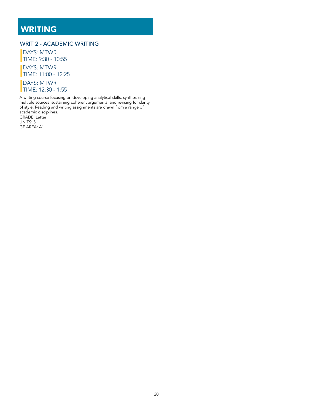# WRITING

### WRIT 2 - ACADEMIC WRITING

 DAYS: MTWR TIME: 9:30 - 10:55 DAYS: MTWR TIME: 11:00 - 12:25 DAYS: MTWR TIME: 12:30 - 1:55

 A writing course focusing on developing analytical skills, synthesizing multiple sources, sustaining coherent arguments, and revising for clarity of style. Reading and writing assignments are drawn from a range of academic disciplines. GRADE: Letter UNITS: 5

GE AREA: A1